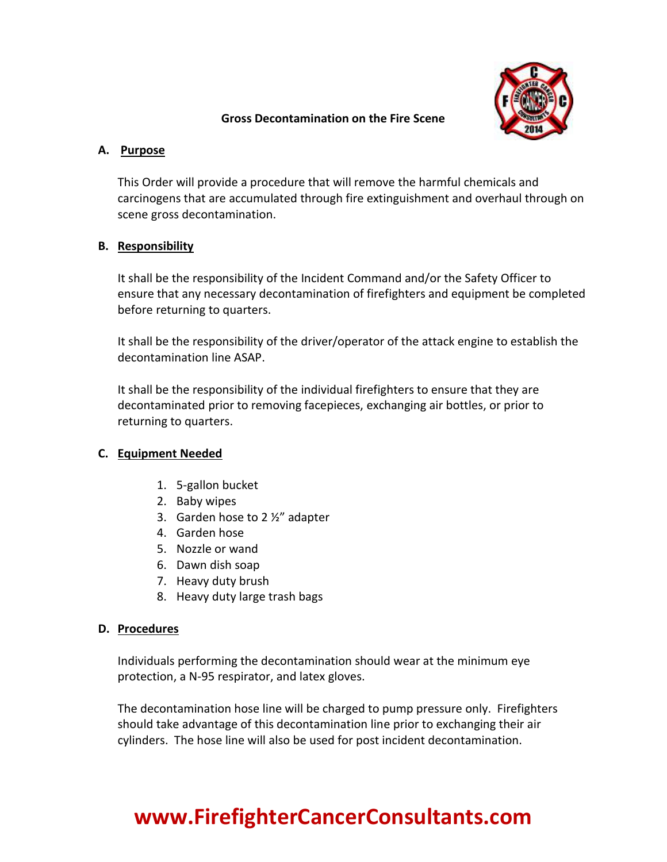

#### **Gross Decontamination on the Fire Scene**

### **A. Purpose**

This Order will provide a procedure that will remove the harmful chemicals and carcinogens that are accumulated through fire extinguishment and overhaul through on scene gross decontamination.

### **B. Responsibility**

It shall be the responsibility of the Incident Command and/or the Safety Officer to ensure that any necessary decontamination of firefighters and equipment be completed before returning to quarters.

It shall be the responsibility of the driver/operator of the attack engine to establish the decontamination line ASAP.

It shall be the responsibility of the individual firefighters to ensure that they are decontaminated prior to removing facepieces, exchanging air bottles, or prior to returning to quarters.

## **C. Equipment Needed**

- 1. 5-gallon bucket
- 2. Baby wipes
- 3. Garden hose to 2 ½" adapter
- 4. Garden hose
- 5. Nozzle or wand
- 6. Dawn dish soap
- 7. Heavy duty brush
- 8. Heavy duty large trash bags

## **D. Procedures**

Individuals performing the decontamination should wear at the minimum eye protection, a N-95 respirator, and latex gloves.

The decontamination hose line will be charged to pump pressure only. Firefighters should take advantage of this decontamination line prior to exchanging their air cylinders. The hose line will also be used for post incident decontamination.

# **www.FirefighterCancerConsultants.com**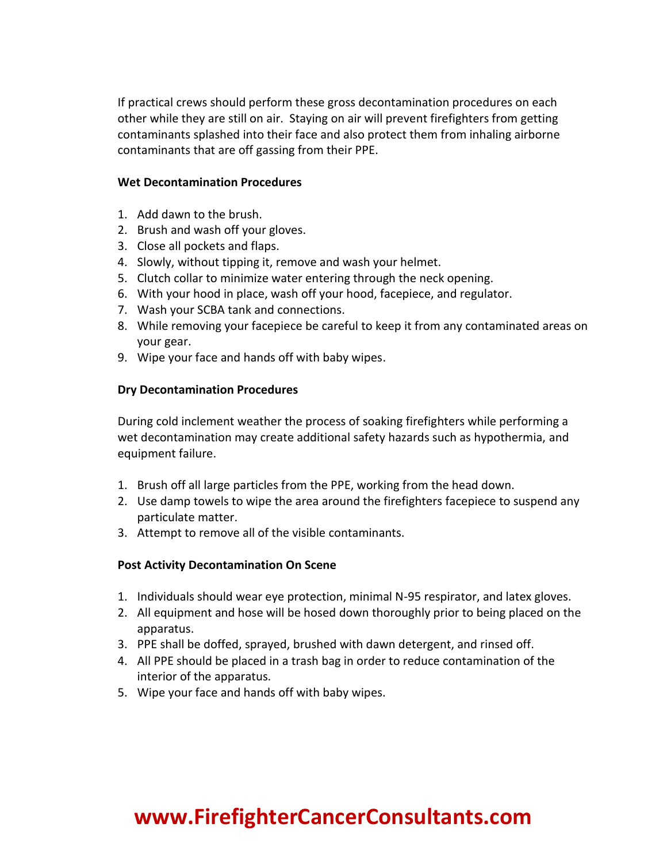If practical crews should perform these gross decontamination procedures on each other while they are still on air. Staying on air will prevent firefighters from getting contaminants splashed into their face and also protect them from inhaling airborne contaminants that are off gassing from their PPE.

#### **Wet Decontamination Procedures**

- 1. Add dawn to the brush.
- 2. Brush and wash off your gloves.
- 3. Close all pockets and flaps.
- 4. Slowly, without tipping it, remove and wash your helmet.
- 5. Clutch collar to minimize water entering through the neck opening.
- 6. With your hood in place, wash off your hood, facepiece, and regulator.
- 7. Wash your SCBA tank and connections.
- 8. While removing your facepiece be careful to keep it from any contaminated areas on your gear.
- 9. Wipe your face and hands off with baby wipes.

#### **Dry Decontamination Procedures**

During cold inclement weather the process of soaking firefighters while performing a wet decontamination may create additional safety hazards such as hypothermia, and equipment failure.

- 1. Brush off all large particles from the PPE, working from the head down.
- 2. Use damp towels to wipe the area around the firefighters facepiece to suspend any particulate matter.
- 3. Attempt to remove all of the visible contaminants.

#### **Post Activity Decontamination On Scene**

- 1. Individuals should wear eye protection, minimal N-95 respirator, and latex gloves.
- 2. All equipment and hose will be hosed down thoroughly prior to being placed on the apparatus.
- 3. PPE shall be doffed, sprayed, brushed with dawn detergent, and rinsed off.
- 4. All PPE should be placed in a trash bag in order to reduce contamination of the interior of the apparatus.
- 5. Wipe your face and hands off with baby wipes.

## **www.FirefighterCancerConsultants.com**